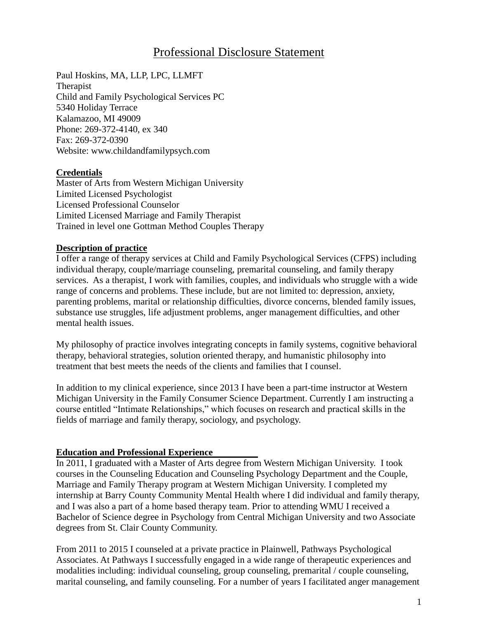# Professional Disclosure Statement

Paul Hoskins, MA, LLP, LPC, LLMFT Therapist Child and Family Psychological Services PC 5340 Holiday Terrace Kalamazoo, MI 49009 Phone: 269-372-4140, ex 340 Fax: 269-372-0390 Website: [www.childandfamilypsych.com](http://www.childandfamilypsych.com/)

#### **Credentials**

Master of Arts from Western Michigan University Limited Licensed Psychologist Licensed Professional Counselor Limited Licensed Marriage and Family Therapist Trained in level one Gottman Method Couples Therapy

#### **Description of practice**

I offer a range of therapy services at Child and Family Psychological Services (CFPS) including individual therapy, couple/marriage counseling, premarital counseling, and family therapy services. As a therapist, I work with families, couples, and individuals who struggle with a wide range of concerns and problems. These include, but are not limited to: depression, anxiety, parenting problems, marital or relationship difficulties, divorce concerns, blended family issues, substance use struggles, life adjustment problems, anger management difficulties, and other mental health issues.

My philosophy of practice involves integrating concepts in family systems, cognitive behavioral therapy, behavioral strategies, solution oriented therapy, and humanistic philosophy into treatment that best meets the needs of the clients and families that I counsel.

In addition to my clinical experience, since 2013 I have been a part-time instructor at Western Michigan University in the Family Consumer Science Department. Currently I am instructing a course entitled "Intimate Relationships," which focuses on research and practical skills in the fields of marriage and family therapy, sociology, and psychology.

#### **Education and Professional Experience**

In 2011, I graduated with a Master of Arts degree from Western Michigan University. I took courses in the Counseling Education and Counseling Psychology Department and the Couple, Marriage and Family Therapy program at Western Michigan University. I completed my internship at Barry County Community Mental Health where I did individual and family therapy, and I was also a part of a home based therapy team. Prior to attending WMU I received a Bachelor of Science degree in Psychology from Central Michigan University and two Associate degrees from St. Clair County Community.

From 2011 to 2015 I counseled at a private practice in Plainwell, Pathways Psychological Associates. At Pathways I successfully engaged in a wide range of therapeutic experiences and modalities including: individual counseling, group counseling, premarital / couple counseling, marital counseling, and family counseling. For a number of years I facilitated anger management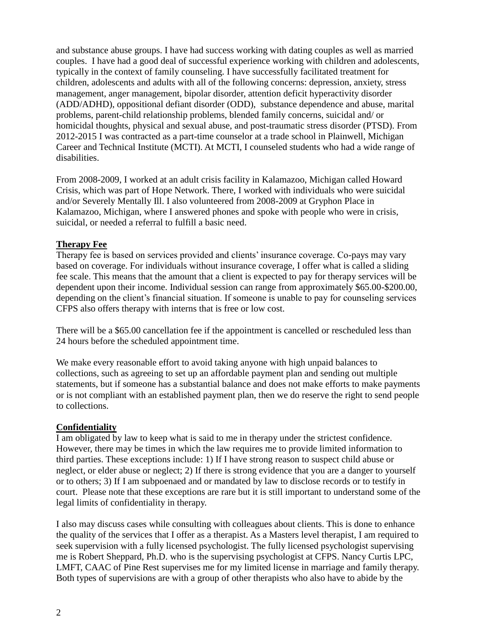and substance abuse groups. I have had success working with dating couples as well as married couples. I have had a good deal of successful experience working with children and adolescents, typically in the context of family counseling. I have successfully facilitated treatment for children, adolescents and adults with all of the following concerns: depression, anxiety, stress management, anger management, bipolar disorder, attention deficit hyperactivity disorder (ADD/ADHD), oppositional defiant disorder (ODD), substance dependence and abuse, marital problems, parent-child relationship problems, blended family concerns, suicidal and/ or homicidal thoughts, physical and sexual abuse, and post-traumatic stress disorder (PTSD). From 2012-2015 I was contracted as a part-time counselor at a trade school in Plainwell, Michigan Career and Technical Institute (MCTI). At MCTI, I counseled students who had a wide range of disabilities.

From 2008-2009, I worked at an adult crisis facility in Kalamazoo, Michigan called Howard Crisis, which was part of Hope Network. There, I worked with individuals who were suicidal and/or Severely Mentally Ill. I also volunteered from 2008-2009 at Gryphon Place in Kalamazoo, Michigan, where I answered phones and spoke with people who were in crisis, suicidal, or needed a referral to fulfill a basic need.

## **Therapy Fee**

Therapy fee is based on services provided and clients' insurance coverage. Co-pays may vary based on coverage. For individuals without insurance coverage, I offer what is called a sliding fee scale. This means that the amount that a client is expected to pay for therapy services will be dependent upon their income. Individual session can range from approximately \$65.00-\$200.00, depending on the client's financial situation. If someone is unable to pay for counseling services CFPS also offers therapy with interns that is free or low cost.

There will be a \$65.00 cancellation fee if the appointment is cancelled or rescheduled less than 24 hours before the scheduled appointment time.

We make every reasonable effort to avoid taking anyone with high unpaid balances to collections, such as agreeing to set up an affordable payment plan and sending out multiple statements, but if someone has a substantial balance and does not make efforts to make payments or is not compliant with an established payment plan, then we do reserve the right to send people to collections.

#### **Confidentiality**

I am obligated by law to keep what is said to me in therapy under the strictest confidence. However, there may be times in which the law requires me to provide limited information to third parties. These exceptions include: 1) If I have strong reason to suspect child abuse or neglect, or elder abuse or neglect; 2) If there is strong evidence that you are a danger to yourself or to others; 3) If I am subpoenaed and or mandated by law to disclose records or to testify in court. Please note that these exceptions are rare but it is still important to understand some of the legal limits of confidentiality in therapy.

I also may discuss cases while consulting with colleagues about clients. This is done to enhance the quality of the services that I offer as a therapist. As a Masters level therapist, I am required to seek supervision with a fully licensed psychologist. The fully licensed psychologist supervising me is Robert Sheppard, Ph.D. who is the supervising psychologist at CFPS. Nancy Curtis LPC, LMFT, CAAC of Pine Rest supervises me for my limited license in marriage and family therapy. Both types of supervisions are with a group of other therapists who also have to abide by the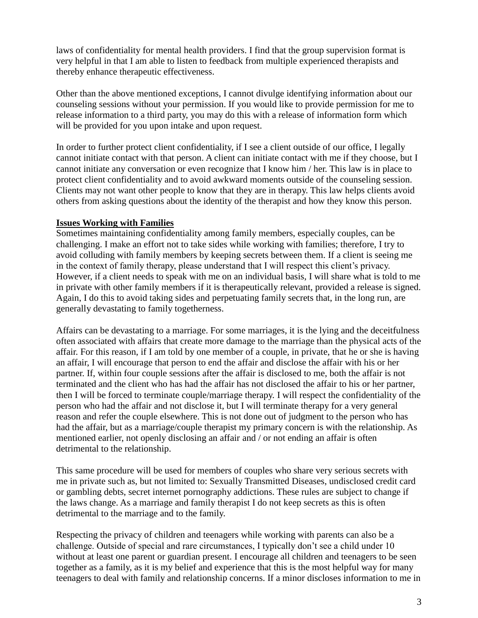laws of confidentiality for mental health providers. I find that the group supervision format is very helpful in that I am able to listen to feedback from multiple experienced therapists and thereby enhance therapeutic effectiveness.

Other than the above mentioned exceptions, I cannot divulge identifying information about our counseling sessions without your permission. If you would like to provide permission for me to release information to a third party, you may do this with a release of information form which will be provided for you upon intake and upon request.

In order to further protect client confidentiality, if I see a client outside of our office, I legally cannot initiate contact with that person. A client can initiate contact with me if they choose, but I cannot initiate any conversation or even recognize that I know him / her. This law is in place to protect client confidentiality and to avoid awkward moments outside of the counseling session. Clients may not want other people to know that they are in therapy. This law helps clients avoid others from asking questions about the identity of the therapist and how they know this person.

## **Issues Working with Families**

Sometimes maintaining confidentiality among family members, especially couples, can be challenging. I make an effort not to take sides while working with families; therefore, I try to avoid colluding with family members by keeping secrets between them. If a client is seeing me in the context of family therapy, please understand that I will respect this client's privacy. However, if a client needs to speak with me on an individual basis, I will share what is told to me in private with other family members if it is therapeutically relevant, provided a release is signed. Again, I do this to avoid taking sides and perpetuating family secrets that, in the long run, are generally devastating to family togetherness.

Affairs can be devastating to a marriage. For some marriages, it is the lying and the deceitfulness often associated with affairs that create more damage to the marriage than the physical acts of the affair. For this reason, if I am told by one member of a couple, in private, that he or she is having an affair, I will encourage that person to end the affair and disclose the affair with his or her partner. If, within four couple sessions after the affair is disclosed to me, both the affair is not terminated and the client who has had the affair has not disclosed the affair to his or her partner, then I will be forced to terminate couple/marriage therapy. I will respect the confidentiality of the person who had the affair and not disclose it, but I will terminate therapy for a very general reason and refer the couple elsewhere. This is not done out of judgment to the person who has had the affair, but as a marriage/couple therapist my primary concern is with the relationship. As mentioned earlier, not openly disclosing an affair and / or not ending an affair is often detrimental to the relationship.

This same procedure will be used for members of couples who share very serious secrets with me in private such as, but not limited to: Sexually Transmitted Diseases, undisclosed credit card or gambling debts, secret internet pornography addictions. These rules are subject to change if the laws change. As a marriage and family therapist I do not keep secrets as this is often detrimental to the marriage and to the family.

Respecting the privacy of children and teenagers while working with parents can also be a challenge. Outside of special and rare circumstances, I typically don't see a child under 10 without at least one parent or guardian present. I encourage all children and teenagers to be seen together as a family, as it is my belief and experience that this is the most helpful way for many teenagers to deal with family and relationship concerns. If a minor discloses information to me in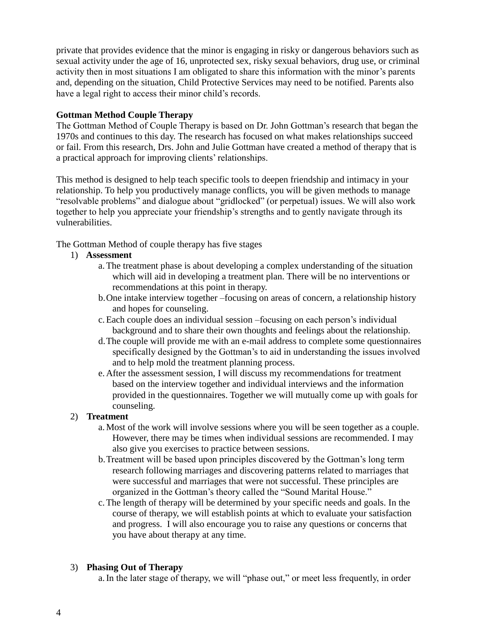private that provides evidence that the minor is engaging in risky or dangerous behaviors such as sexual activity under the age of 16, unprotected sex, risky sexual behaviors, drug use, or criminal activity then in most situations I am obligated to share this information with the minor's parents and, depending on the situation, Child Protective Services may need to be notified. Parents also have a legal right to access their minor child's records.

# **Gottman Method Couple Therapy**

The Gottman Method of Couple Therapy is based on Dr. John Gottman's research that began the 1970s and continues to this day. The research has focused on what makes relationships succeed or fail. From this research, Drs. John and Julie Gottman have created a method of therapy that is a practical approach for improving clients' relationships.

This method is designed to help teach specific tools to deepen friendship and intimacy in your relationship. To help you productively manage conflicts, you will be given methods to manage "resolvable problems" and dialogue about "gridlocked" (or perpetual) issues. We will also work together to help you appreciate your friendship's strengths and to gently navigate through its vulnerabilities.

The Gottman Method of couple therapy has five stages

- 1) **Assessment**
	- a.The treatment phase is about developing a complex understanding of the situation which will aid in developing a treatment plan. There will be no interventions or recommendations at this point in therapy.
	- b.One intake interview together –focusing on areas of concern, a relationship history and hopes for counseling.
	- c.Each couple does an individual session –focusing on each person's individual background and to share their own thoughts and feelings about the relationship.
	- d.The couple will provide me with an e-mail address to complete some questionnaires specifically designed by the Gottman's to aid in understanding the issues involved and to help mold the treatment planning process.
	- e.After the assessment session, I will discuss my recommendations for treatment based on the interview together and individual interviews and the information provided in the questionnaires. Together we will mutually come up with goals for counseling.

# 2) **Treatment**

- a.Most of the work will involve sessions where you will be seen together as a couple. However, there may be times when individual sessions are recommended. I may also give you exercises to practice between sessions.
- b.Treatment will be based upon principles discovered by the Gottman's long term research following marriages and discovering patterns related to marriages that were successful and marriages that were not successful. These principles are organized in the Gottman's theory called the "Sound Marital House."
- c.The length of therapy will be determined by your specific needs and goals. In the course of therapy, we will establish points at which to evaluate your satisfaction and progress. I will also encourage you to raise any questions or concerns that you have about therapy at any time.

# 3) **Phasing Out of Therapy**

a.In the later stage of therapy, we will "phase out," or meet less frequently, in order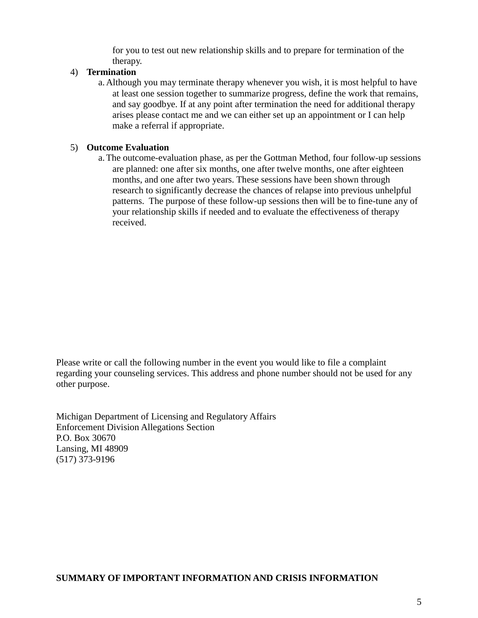for you to test out new relationship skills and to prepare for termination of the therapy.

## 4) **Termination**

a.Although you may terminate therapy whenever you wish, it is most helpful to have at least one session together to summarize progress, define the work that remains, and say goodbye. If at any point after termination the need for additional therapy arises please contact me and we can either set up an appointment or I can help make a referral if appropriate.

#### 5) **Outcome Evaluation**

a.The outcome-evaluation phase, as per the Gottman Method, four follow-up sessions are planned: one after six months, one after twelve months, one after eighteen months, and one after two years. These sessions have been shown through research to significantly decrease the chances of relapse into previous unhelpful patterns. The purpose of these follow-up sessions then will be to fine-tune any of your relationship skills if needed and to evaluate the effectiveness of therapy received.

Please write or call the following number in the event you would like to file a complaint regarding your counseling services. This address and phone number should not be used for any other purpose.

Michigan Department of Licensing and Regulatory Affairs Enforcement Division Allegations Section P.O. Box 30670 Lansing, MI 48909 (517) 373-9196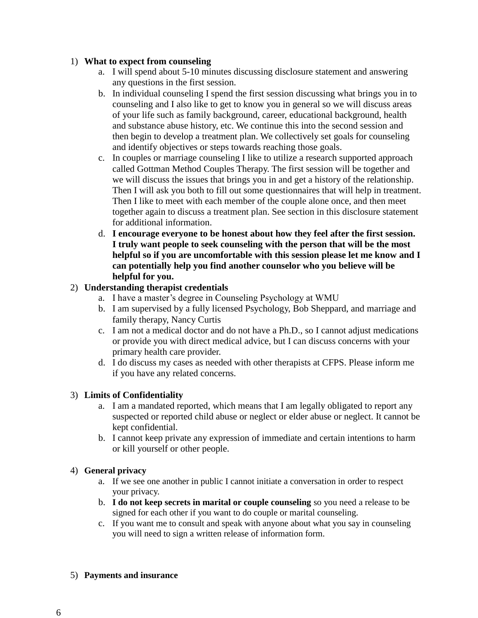## 1) **What to expect from counseling**

- a. I will spend about 5-10 minutes discussing disclosure statement and answering any questions in the first session.
- b. In individual counseling I spend the first session discussing what brings you in to counseling and I also like to get to know you in general so we will discuss areas of your life such as family background, career, educational background, health and substance abuse history, etc. We continue this into the second session and then begin to develop a treatment plan. We collectively set goals for counseling and identify objectives or steps towards reaching those goals.
- c. In couples or marriage counseling I like to utilize a research supported approach called Gottman Method Couples Therapy. The first session will be together and we will discuss the issues that brings you in and get a history of the relationship. Then I will ask you both to fill out some questionnaires that will help in treatment. Then I like to meet with each member of the couple alone once, and then meet together again to discuss a treatment plan. See section in this disclosure statement for additional information.
- d. **I encourage everyone to be honest about how they feel after the first session. I truly want people to seek counseling with the person that will be the most helpful so if you are uncomfortable with this session please let me know and I can potentially help you find another counselor who you believe will be helpful for you.**

# 2) **Understanding therapist credentials**

- a. I have a master's degree in Counseling Psychology at WMU
- b. I am supervised by a fully licensed Psychology, Bob Sheppard, and marriage and family therapy, Nancy Curtis
- c. I am not a medical doctor and do not have a Ph.D., so I cannot adjust medications or provide you with direct medical advice, but I can discuss concerns with your primary health care provider.
- d. I do discuss my cases as needed with other therapists at CFPS. Please inform me if you have any related concerns.

# 3) **Limits of Confidentiality**

- a. I am a mandated reported, which means that I am legally obligated to report any suspected or reported child abuse or neglect or elder abuse or neglect. It cannot be kept confidential.
- b. I cannot keep private any expression of immediate and certain intentions to harm or kill yourself or other people.

# 4) **General privacy**

- a. If we see one another in public I cannot initiate a conversation in order to respect your privacy.
- b. **I do not keep secrets in marital or couple counseling** so you need a release to be signed for each other if you want to do couple or marital counseling.
- c. If you want me to consult and speak with anyone about what you say in counseling you will need to sign a written release of information form.
- 5) **Payments and insurance**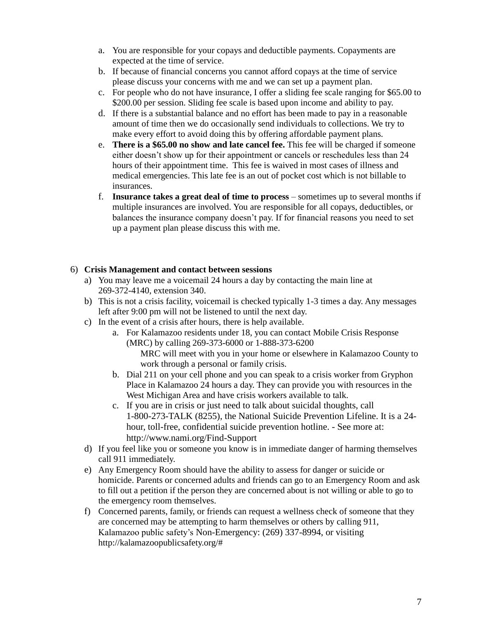- a. You are responsible for your copays and deductible payments. Copayments are expected at the time of service.
- b. If because of financial concerns you cannot afford copays at the time of service please discuss your concerns with me and we can set up a payment plan.
- c. For people who do not have insurance, I offer a sliding fee scale ranging for \$65.00 to \$200.00 per session. Sliding fee scale is based upon income and ability to pay.
- d. If there is a substantial balance and no effort has been made to pay in a reasonable amount of time then we do occasionally send individuals to collections. We try to make every effort to avoid doing this by offering affordable payment plans.
- e. **There is a \$65.00 no show and late cancel fee.** This fee will be charged if someone either doesn't show up for their appointment or cancels or reschedules less than 24 hours of their appointment time. This fee is waived in most cases of illness and medical emergencies. This late fee is an out of pocket cost which is not billable to insurances.
- f. **Insurance takes a great deal of time to process** sometimes up to several months if multiple insurances are involved. You are responsible for all copays, deductibles, or balances the insurance company doesn't pay. If for financial reasons you need to set up a payment plan please discuss this with me.

## 6) **Crisis Management and contact between sessions**

- a) You may leave me a voicemail 24 hours a day by contacting the main line at 269-372-4140, extension 340.
- b) This is not a crisis facility, voicemail is checked typically 1-3 times a day. Any messages left after 9:00 pm will not be listened to until the next day.
- c) In the event of a crisis after hours, there is help available.
	- a. For Kalamazoo residents under 18, you can contact Mobile Crisis Response (MRC) by calling 269-373-6000 or 1-888-373-6200 MRC will meet with you in your home or elsewhere in Kalamazoo County to work through a personal or family crisis.
	- b. Dial 211 on your cell phone and you can speak to a crisis worker from Gryphon Place in Kalamazoo 24 hours a day. They can provide you with resources in the West Michigan Area and have crisis workers available to talk.
	- c. If you are in crisis or just need to talk about suicidal thoughts, call 1-800-273-TALK (8255), the National Suicide Prevention Lifeline. It is a 24 hour, toll-free, confidential suicide prevention hotline. - See more at: http://www.nami.org/Find-Support
- d) If you feel like you or someone you know is in immediate danger of harming themselves call 911 immediately.
- e) Any Emergency Room should have the ability to assess for danger or suicide or homicide. Parents or concerned adults and friends can go to an Emergency Room and ask to fill out a petition if the person they are concerned about is not willing or able to go to the emergency room themselves.
- f) Concerned parents, family, or friends can request a wellness check of someone that they are concerned may be attempting to harm themselves or others by calling 911, Kalamazoo public safety's Non-Emergency: (269) 337-8994, or visiting http://kalamazoopublicsafety.org/#